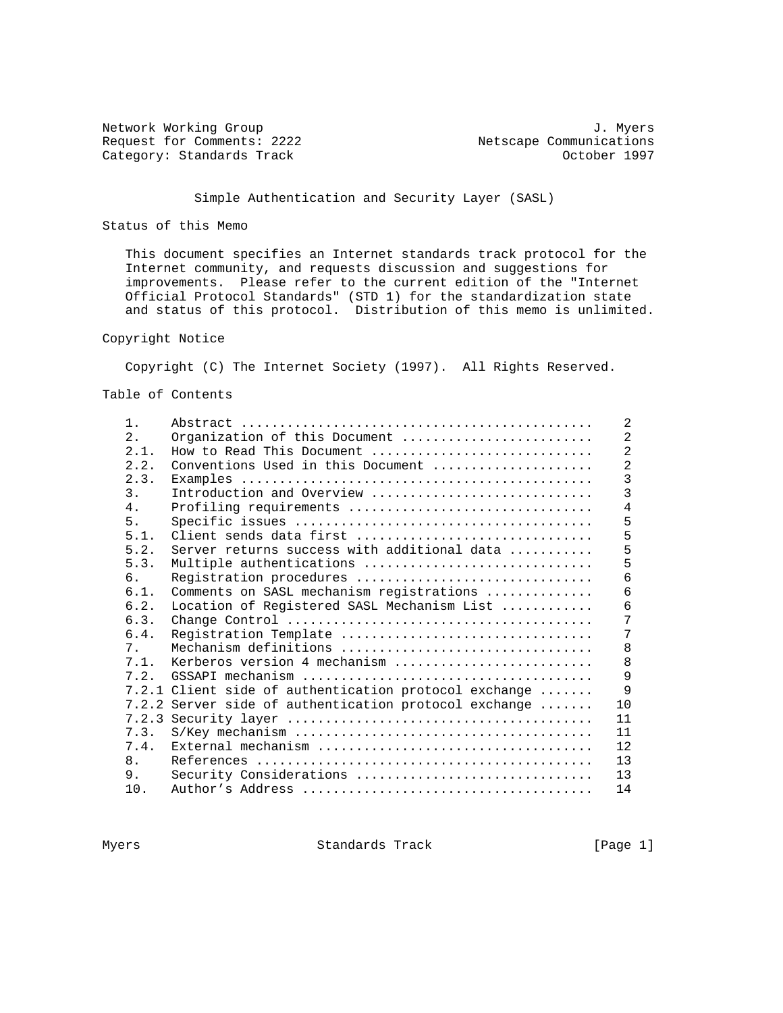Network Working Group<br>Request for Comments: 2222 1997 Metscape Communications Request for Comments: 2222<br>
Category: Standards Track<br>
Category: Standards Track<br>
Category: Standards Track Category: Standards Track

## Simple Authentication and Security Layer (SASL)

# Status of this Memo

 This document specifies an Internet standards track protocol for the Internet community, and requests discussion and suggestions for improvements. Please refer to the current edition of the "Internet Official Protocol Standards" (STD 1) for the standardization state and status of this protocol. Distribution of this memo is unlimited.

## Copyright Notice

Copyright (C) The Internet Society (1997). All Rights Reserved.

Table of Contents

| $1$ .          |                                                       | $\overline{2}$ |
|----------------|-------------------------------------------------------|----------------|
| 2.             | Organization of this Document                         | $\overline{2}$ |
| 2.1.           | How to Read This Document                             | $\overline{2}$ |
| 2.2.           | Conventions Used in this Document                     | $\overline{2}$ |
| 2.3.           |                                                       | 3              |
| 3.             | Introduction and Overview                             | $\overline{3}$ |
| 4.             | Profiling requirements                                | 4              |
| 5.             |                                                       | 5              |
| 5.1.           | Client sends data first                               | 5              |
| 5.2.           | Server returns success with additional data           | 5              |
| 5.3.           | Multiple authentications                              | 5              |
| რ.             | Registration procedures                               | 6              |
| 6.1.           | Comments on SASL mechanism registrations              | 6              |
| 6.2.           | Location of Registered SASL Mechanism List            | 6              |
| 6.3.           |                                                       | 7              |
| 6.4.           | Registration Template                                 | 7              |
| 7 <sub>1</sub> | Mechanism definitions                                 | 8              |
| 7.1.           | Kerberos version 4 mechanism                          | 8              |
| 7.2.           |                                                       | 9              |
|                | 7.2.1 Client side of authentication protocol exchange | 9              |
|                | 7.2.2 Server side of authentication protocol exchange | 10             |
|                |                                                       | 11             |
| 7.3.           |                                                       | 11             |
| 7.4.           |                                                       | 12             |
| 8.             |                                                       | 13             |
| 9.             | Security Considerations                               | 13             |
| 10.            |                                                       | 14             |

Myers **Standards Track** [Page 1]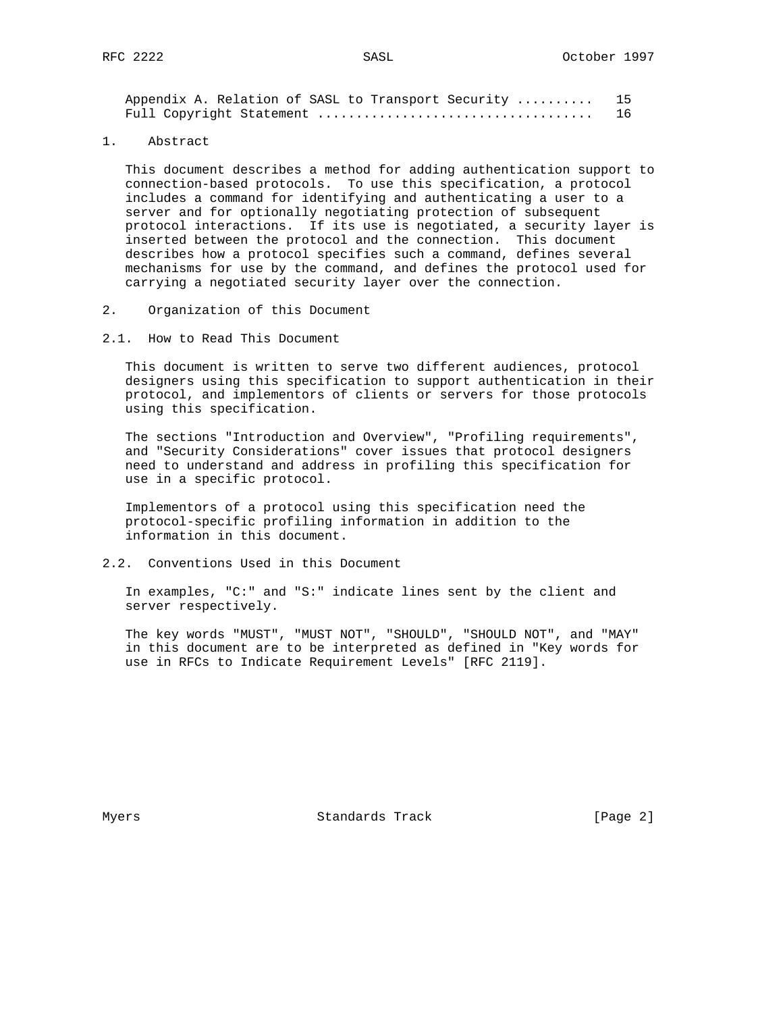Appendix A. Relation of SASL to Transport Security .......... 15 Full Copyright Statement .................................... 16

1. Abstract

 This document describes a method for adding authentication support to connection-based protocols. To use this specification, a protocol includes a command for identifying and authenticating a user to a server and for optionally negotiating protection of subsequent protocol interactions. If its use is negotiated, a security layer is inserted between the protocol and the connection. This document describes how a protocol specifies such a command, defines several mechanisms for use by the command, and defines the protocol used for carrying a negotiated security layer over the connection.

- 2. Organization of this Document
- 2.1. How to Read This Document

 This document is written to serve two different audiences, protocol designers using this specification to support authentication in their protocol, and implementors of clients or servers for those protocols using this specification.

 The sections "Introduction and Overview", "Profiling requirements", and "Security Considerations" cover issues that protocol designers need to understand and address in profiling this specification for use in a specific protocol.

 Implementors of a protocol using this specification need the protocol-specific profiling information in addition to the information in this document.

2.2. Conventions Used in this Document

 In examples, "C:" and "S:" indicate lines sent by the client and server respectively.

 The key words "MUST", "MUST NOT", "SHOULD", "SHOULD NOT", and "MAY" in this document are to be interpreted as defined in "Key words for use in RFCs to Indicate Requirement Levels" [RFC 2119].

Myers **Standards Track** [Page 2]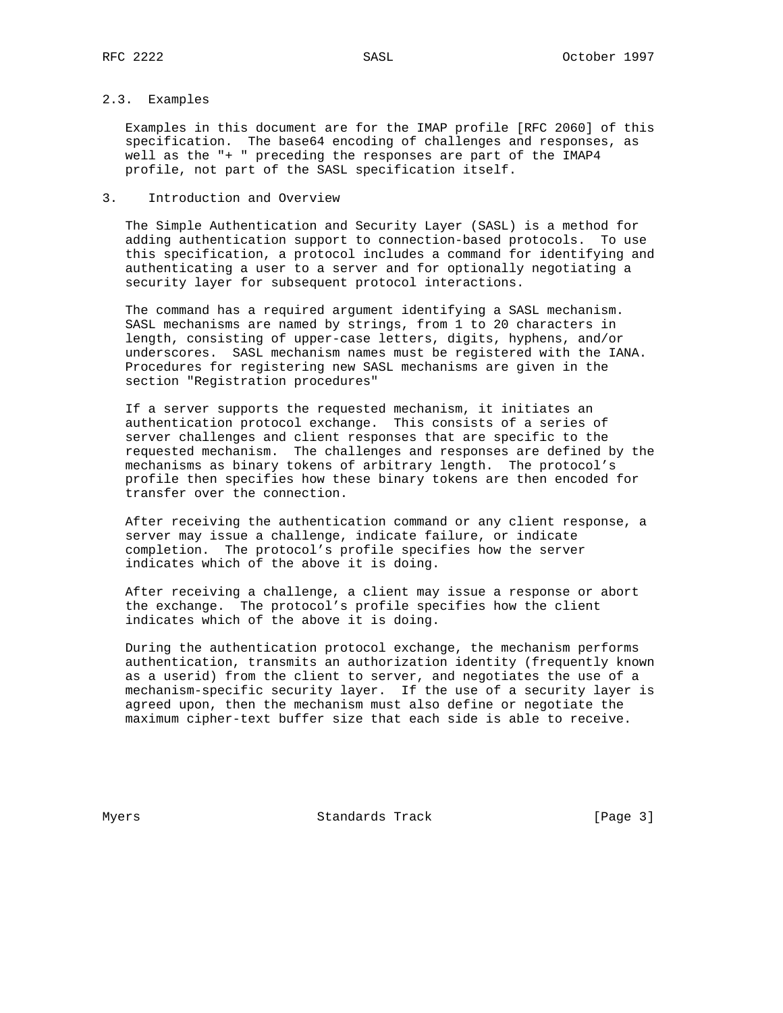## 2.3. Examples

 Examples in this document are for the IMAP profile [RFC 2060] of this specification. The base64 encoding of challenges and responses, as well as the "+ " preceding the responses are part of the IMAP4 profile, not part of the SASL specification itself.

#### 3. Introduction and Overview

 The Simple Authentication and Security Layer (SASL) is a method for adding authentication support to connection-based protocols. To use this specification, a protocol includes a command for identifying and authenticating a user to a server and for optionally negotiating a security layer for subsequent protocol interactions.

 The command has a required argument identifying a SASL mechanism. SASL mechanisms are named by strings, from 1 to 20 characters in length, consisting of upper-case letters, digits, hyphens, and/or underscores. SASL mechanism names must be registered with the IANA. Procedures for registering new SASL mechanisms are given in the section "Registration procedures"

 If a server supports the requested mechanism, it initiates an authentication protocol exchange. This consists of a series of server challenges and client responses that are specific to the requested mechanism. The challenges and responses are defined by the mechanisms as binary tokens of arbitrary length. The protocol's profile then specifies how these binary tokens are then encoded for transfer over the connection.

 After receiving the authentication command or any client response, a server may issue a challenge, indicate failure, or indicate completion. The protocol's profile specifies how the server indicates which of the above it is doing.

 After receiving a challenge, a client may issue a response or abort the exchange. The protocol's profile specifies how the client indicates which of the above it is doing.

 During the authentication protocol exchange, the mechanism performs authentication, transmits an authorization identity (frequently known as a userid) from the client to server, and negotiates the use of a mechanism-specific security layer. If the use of a security layer is agreed upon, then the mechanism must also define or negotiate the maximum cipher-text buffer size that each side is able to receive.

Myers **Standards Track** [Page 3]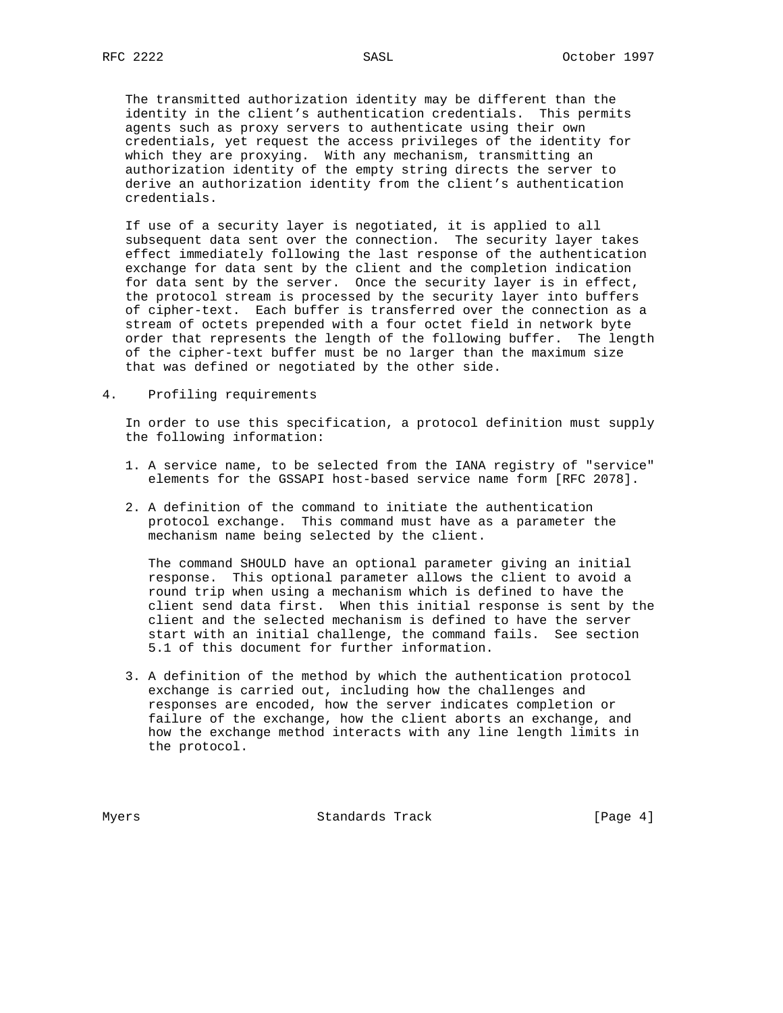The transmitted authorization identity may be different than the identity in the client's authentication credentials. This permits agents such as proxy servers to authenticate using their own credentials, yet request the access privileges of the identity for which they are proxying. With any mechanism, transmitting an authorization identity of the empty string directs the server to derive an authorization identity from the client's authentication credentials.

 If use of a security layer is negotiated, it is applied to all subsequent data sent over the connection. The security layer takes effect immediately following the last response of the authentication exchange for data sent by the client and the completion indication for data sent by the server. Once the security layer is in effect, the protocol stream is processed by the security layer into buffers of cipher-text. Each buffer is transferred over the connection as a stream of octets prepended with a four octet field in network byte order that represents the length of the following buffer. The length of the cipher-text buffer must be no larger than the maximum size that was defined or negotiated by the other side.

4. Profiling requirements

 In order to use this specification, a protocol definition must supply the following information:

- 1. A service name, to be selected from the IANA registry of "service" elements for the GSSAPI host-based service name form [RFC 2078].
- 2. A definition of the command to initiate the authentication protocol exchange. This command must have as a parameter the mechanism name being selected by the client.

 The command SHOULD have an optional parameter giving an initial response. This optional parameter allows the client to avoid a round trip when using a mechanism which is defined to have the client send data first. When this initial response is sent by the client and the selected mechanism is defined to have the server start with an initial challenge, the command fails. See section 5.1 of this document for further information.

 3. A definition of the method by which the authentication protocol exchange is carried out, including how the challenges and responses are encoded, how the server indicates completion or failure of the exchange, how the client aborts an exchange, and how the exchange method interacts with any line length limits in the protocol.

Myers **Standards Track** [Page 4]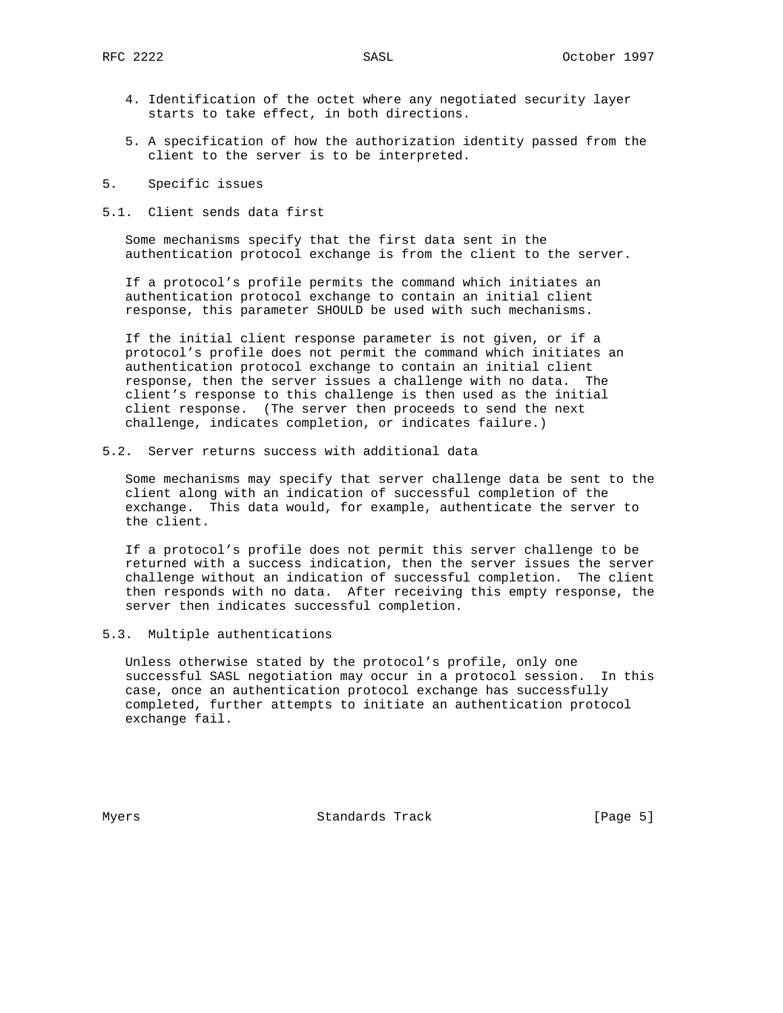- 4. Identification of the octet where any negotiated security layer starts to take effect, in both directions.
- 5. A specification of how the authorization identity passed from the client to the server is to be interpreted.
- 5. Specific issues
- 5.1. Client sends data first

 Some mechanisms specify that the first data sent in the authentication protocol exchange is from the client to the server.

 If a protocol's profile permits the command which initiates an authentication protocol exchange to contain an initial client response, this parameter SHOULD be used with such mechanisms.

 If the initial client response parameter is not given, or if a protocol's profile does not permit the command which initiates an authentication protocol exchange to contain an initial client response, then the server issues a challenge with no data. The client's response to this challenge is then used as the initial client response. (The server then proceeds to send the next challenge, indicates completion, or indicates failure.)

5.2. Server returns success with additional data

 Some mechanisms may specify that server challenge data be sent to the client along with an indication of successful completion of the exchange. This data would, for example, authenticate the server to the client.

 If a protocol's profile does not permit this server challenge to be returned with a success indication, then the server issues the server challenge without an indication of successful completion. The client then responds with no data. After receiving this empty response, the server then indicates successful completion.

5.3. Multiple authentications

 Unless otherwise stated by the protocol's profile, only one successful SASL negotiation may occur in a protocol session. In this case, once an authentication protocol exchange has successfully completed, further attempts to initiate an authentication protocol exchange fail.

Myers **Standards Track** [Page 5]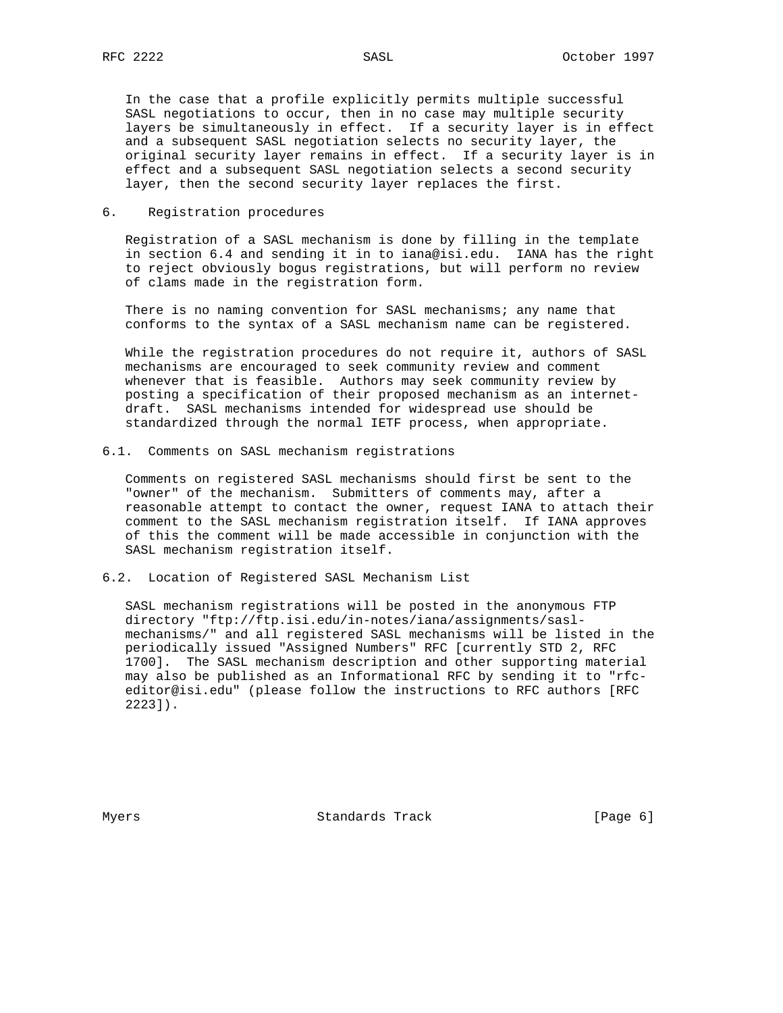In the case that a profile explicitly permits multiple successful SASL negotiations to occur, then in no case may multiple security layers be simultaneously in effect. If a security layer is in effect and a subsequent SASL negotiation selects no security layer, the original security layer remains in effect. If a security layer is in effect and a subsequent SASL negotiation selects a second security layer, then the second security layer replaces the first.

#### 6. Registration procedures

 Registration of a SASL mechanism is done by filling in the template in section 6.4 and sending it in to iana@isi.edu. IANA has the right to reject obviously bogus registrations, but will perform no review of clams made in the registration form.

 There is no naming convention for SASL mechanisms; any name that conforms to the syntax of a SASL mechanism name can be registered.

 While the registration procedures do not require it, authors of SASL mechanisms are encouraged to seek community review and comment whenever that is feasible. Authors may seek community review by posting a specification of their proposed mechanism as an internet draft. SASL mechanisms intended for widespread use should be standardized through the normal IETF process, when appropriate.

#### 6.1. Comments on SASL mechanism registrations

 Comments on registered SASL mechanisms should first be sent to the "owner" of the mechanism. Submitters of comments may, after a reasonable attempt to contact the owner, request IANA to attach their comment to the SASL mechanism registration itself. If IANA approves of this the comment will be made accessible in conjunction with the SASL mechanism registration itself.

### 6.2. Location of Registered SASL Mechanism List

 SASL mechanism registrations will be posted in the anonymous FTP directory "ftp://ftp.isi.edu/in-notes/iana/assignments/sasl mechanisms/" and all registered SASL mechanisms will be listed in the periodically issued "Assigned Numbers" RFC [currently STD 2, RFC 1700]. The SASL mechanism description and other supporting material may also be published as an Informational RFC by sending it to "rfc editor@isi.edu" (please follow the instructions to RFC authors [RFC 2223]).

Myers **Standards Track** [Page 6]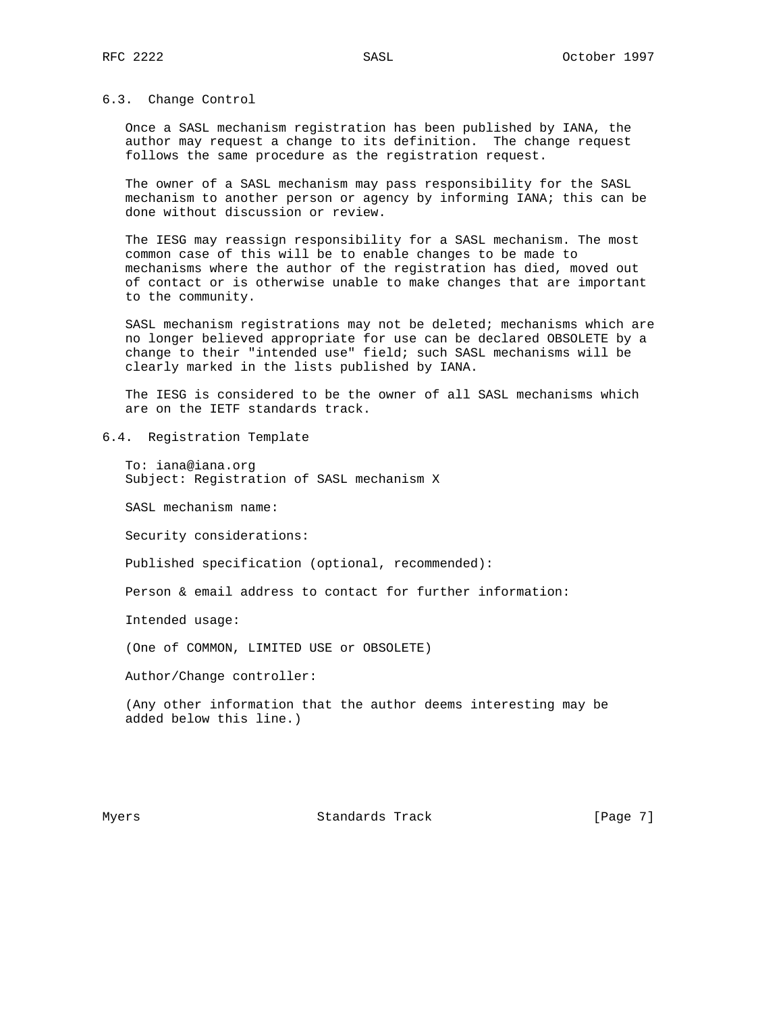#### 6.3. Change Control

 Once a SASL mechanism registration has been published by IANA, the author may request a change to its definition. The change request follows the same procedure as the registration request.

 The owner of a SASL mechanism may pass responsibility for the SASL mechanism to another person or agency by informing IANA; this can be done without discussion or review.

 The IESG may reassign responsibility for a SASL mechanism. The most common case of this will be to enable changes to be made to mechanisms where the author of the registration has died, moved out of contact or is otherwise unable to make changes that are important to the community.

 SASL mechanism registrations may not be deleted; mechanisms which are no longer believed appropriate for use can be declared OBSOLETE by a change to their "intended use" field; such SASL mechanisms will be clearly marked in the lists published by IANA.

 The IESG is considered to be the owner of all SASL mechanisms which are on the IETF standards track.

6.4. Registration Template

 To: iana@iana.org Subject: Registration of SASL mechanism X

SASL mechanism name:

Security considerations:

Published specification (optional, recommended):

Person & email address to contact for further information:

Intended usage:

(One of COMMON, LIMITED USE or OBSOLETE)

Author/Change controller:

 (Any other information that the author deems interesting may be added below this line.)

Myers **Standards Track** [Page 7]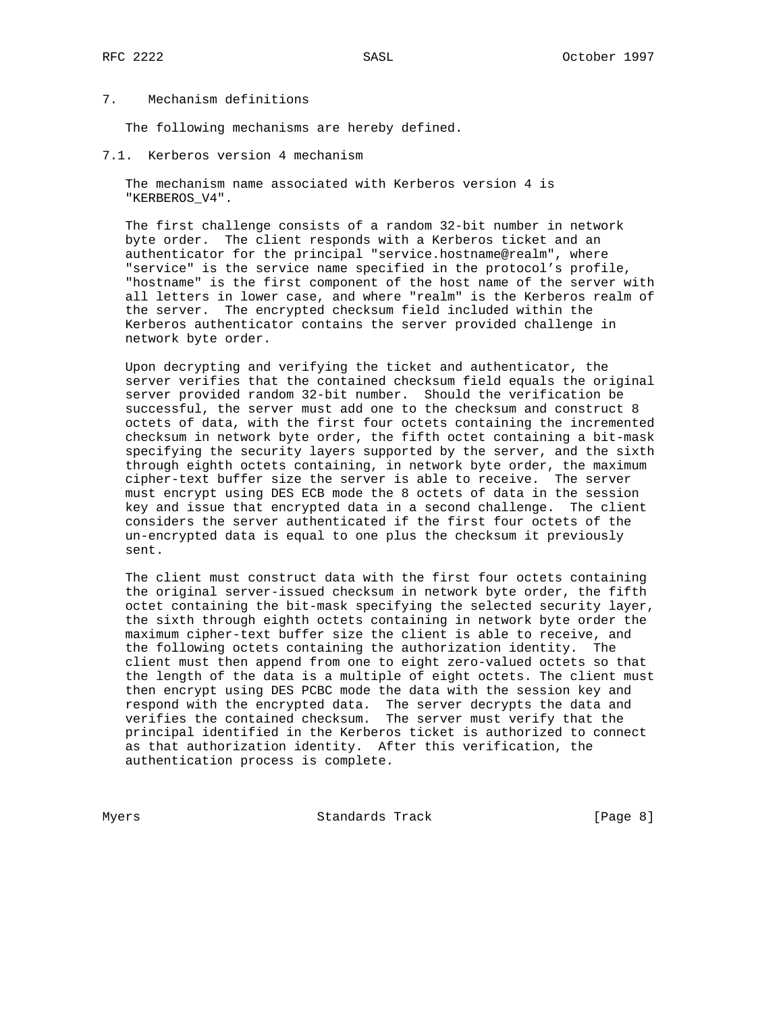## 7. Mechanism definitions

The following mechanisms are hereby defined.

7.1. Kerberos version 4 mechanism

 The mechanism name associated with Kerberos version 4 is "KERBEROS\_V4".

 The first challenge consists of a random 32-bit number in network byte order. The client responds with a Kerberos ticket and an authenticator for the principal "service.hostname@realm", where "service" is the service name specified in the protocol's profile, "hostname" is the first component of the host name of the server with all letters in lower case, and where "realm" is the Kerberos realm of the server. The encrypted checksum field included within the Kerberos authenticator contains the server provided challenge in network byte order.

 Upon decrypting and verifying the ticket and authenticator, the server verifies that the contained checksum field equals the original server provided random 32-bit number. Should the verification be successful, the server must add one to the checksum and construct 8 octets of data, with the first four octets containing the incremented checksum in network byte order, the fifth octet containing a bit-mask specifying the security layers supported by the server, and the sixth through eighth octets containing, in network byte order, the maximum cipher-text buffer size the server is able to receive. The server must encrypt using DES ECB mode the 8 octets of data in the session key and issue that encrypted data in a second challenge. The client considers the server authenticated if the first four octets of the un-encrypted data is equal to one plus the checksum it previously sent.

 The client must construct data with the first four octets containing the original server-issued checksum in network byte order, the fifth octet containing the bit-mask specifying the selected security layer, the sixth through eighth octets containing in network byte order the maximum cipher-text buffer size the client is able to receive, and the following octets containing the authorization identity. The client must then append from one to eight zero-valued octets so that the length of the data is a multiple of eight octets. The client must then encrypt using DES PCBC mode the data with the session key and respond with the encrypted data. The server decrypts the data and verifies the contained checksum. The server must verify that the principal identified in the Kerberos ticket is authorized to connect as that authorization identity. After this verification, the authentication process is complete.

Myers **Standards Track** [Page 8]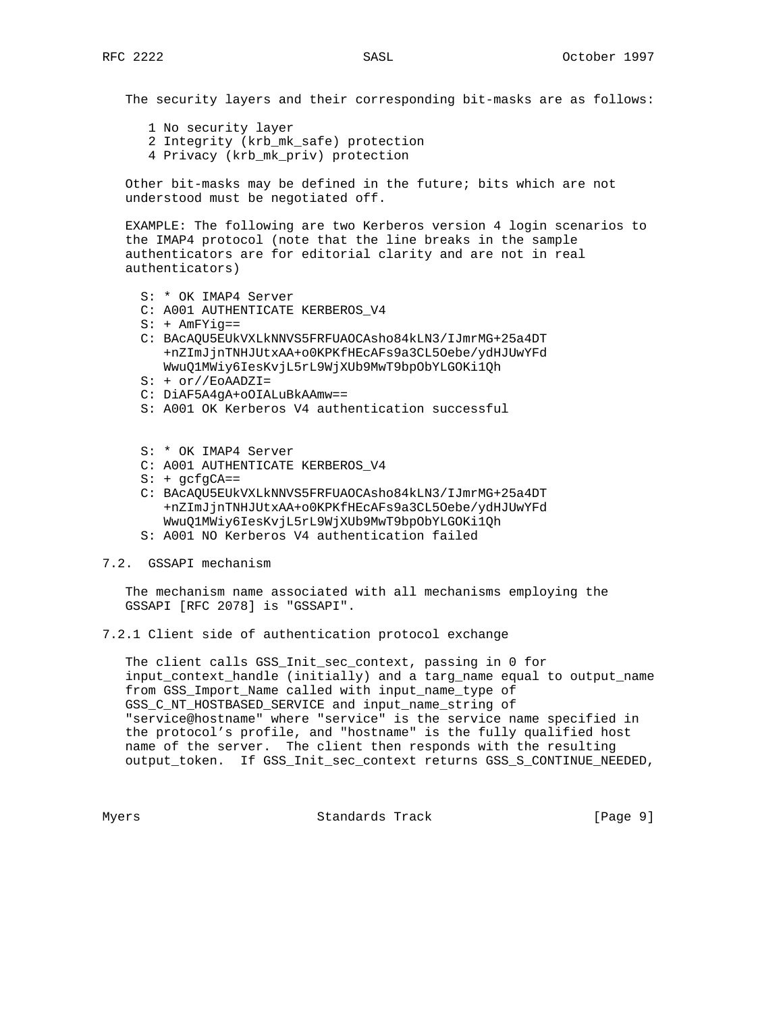The security layers and their corresponding bit-masks are as follows:

- 1 No security layer
- 2 Integrity (krb\_mk\_safe) protection
- 4 Privacy (krb\_mk\_priv) protection

 Other bit-masks may be defined in the future; bits which are not understood must be negotiated off.

 EXAMPLE: The following are two Kerberos version 4 login scenarios to the IMAP4 protocol (note that the line breaks in the sample authenticators are for editorial clarity and are not in real authenticators)

- S: \* OK IMAP4 Server
- C: A001 AUTHENTICATE KERBEROS\_V4
- S: + AmFYig==
- C: BAcAQU5EUkVXLkNNVS5FRFUAOCAsho84kLN3/IJmrMG+25a4DT +nZImJjnTNHJUtxAA+o0KPKfHEcAFs9a3CL5Oebe/ydHJUwYFd WwuQ1MWiy6IesKvjL5rL9WjXUb9MwT9bpObYLGOKi1Qh
- S: + or//EoAADZI=
- C: DiAF5A4gA+oOIALuBkAAmw==
- S: A001 OK Kerberos V4 authentication successful
- S: \* OK IMAP4 Server
- C: A001 AUTHENTICATE KERBEROS\_V4
- $S: + qcfqCA ==$
- C: BAcAQU5EUkVXLkNNVS5FRFUAOCAsho84kLN3/IJmrMG+25a4DT +nZImJjnTNHJUtxAA+o0KPKfHEcAFs9a3CL5Oebe/ydHJUwYFd WwuQ1MWiy6IesKvjL5rL9WjXUb9MwT9bpObYLGOKi1Qh
- S: A001 NO Kerberos V4 authentication failed
- 7.2. GSSAPI mechanism

 The mechanism name associated with all mechanisms employing the GSSAPI [RFC 2078] is "GSSAPI".

7.2.1 Client side of authentication protocol exchange

 The client calls GSS\_Init\_sec\_context, passing in 0 for input\_context\_handle (initially) and a targ\_name equal to output\_name from GSS\_Import\_Name called with input\_name\_type of GSS\_C\_NT\_HOSTBASED\_SERVICE and input\_name\_string of "service@hostname" where "service" is the service name specified in the protocol's profile, and "hostname" is the fully qualified host name of the server. The client then responds with the resulting output\_token. If GSS\_Init\_sec\_context returns GSS\_S\_CONTINUE\_NEEDED,

Myers **Standards Track** [Page 9]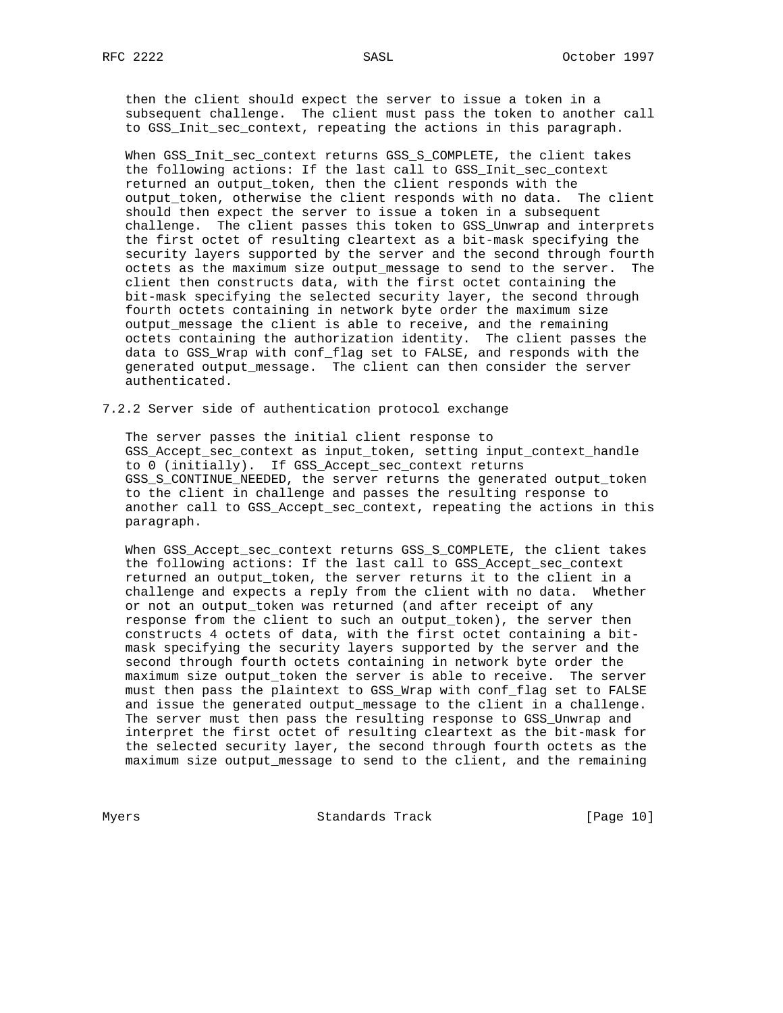then the client should expect the server to issue a token in a subsequent challenge. The client must pass the token to another call to GSS\_Init\_sec\_context, repeating the actions in this paragraph.

 When GSS\_Init\_sec\_context returns GSS\_S\_COMPLETE, the client takes the following actions: If the last call to GSS\_Init\_sec\_context returned an output\_token, then the client responds with the output\_token, otherwise the client responds with no data. The client should then expect the server to issue a token in a subsequent challenge. The client passes this token to GSS\_Unwrap and interprets the first octet of resulting cleartext as a bit-mask specifying the security layers supported by the server and the second through fourth octets as the maximum size output\_message to send to the server. The client then constructs data, with the first octet containing the bit-mask specifying the selected security layer, the second through fourth octets containing in network byte order the maximum size output\_message the client is able to receive, and the remaining octets containing the authorization identity. The client passes the data to GSS\_Wrap with conf\_flag set to FALSE, and responds with the generated output\_message. The client can then consider the server authenticated.

### 7.2.2 Server side of authentication protocol exchange

 The server passes the initial client response to GSS\_Accept\_sec\_context as input\_token, setting input\_context\_handle to 0 (initially). If GSS\_Accept\_sec\_context returns GSS\_S\_CONTINUE\_NEEDED, the server returns the generated output\_token to the client in challenge and passes the resulting response to another call to GSS\_Accept\_sec\_context, repeating the actions in this paragraph.

When GSS\_Accept\_sec\_context returns GSS\_S\_COMPLETE, the client takes the following actions: If the last call to GSS\_Accept\_sec\_context returned an output\_token, the server returns it to the client in a challenge and expects a reply from the client with no data. Whether or not an output\_token was returned (and after receipt of any response from the client to such an output\_token), the server then constructs 4 octets of data, with the first octet containing a bit mask specifying the security layers supported by the server and the second through fourth octets containing in network byte order the maximum size output\_token the server is able to receive. The server must then pass the plaintext to GSS\_Wrap with conf\_flag set to FALSE and issue the generated output\_message to the client in a challenge. The server must then pass the resulting response to GSS\_Unwrap and interpret the first octet of resulting cleartext as the bit-mask for the selected security layer, the second through fourth octets as the maximum size output\_message to send to the client, and the remaining

Myers Standards Track [Page 10]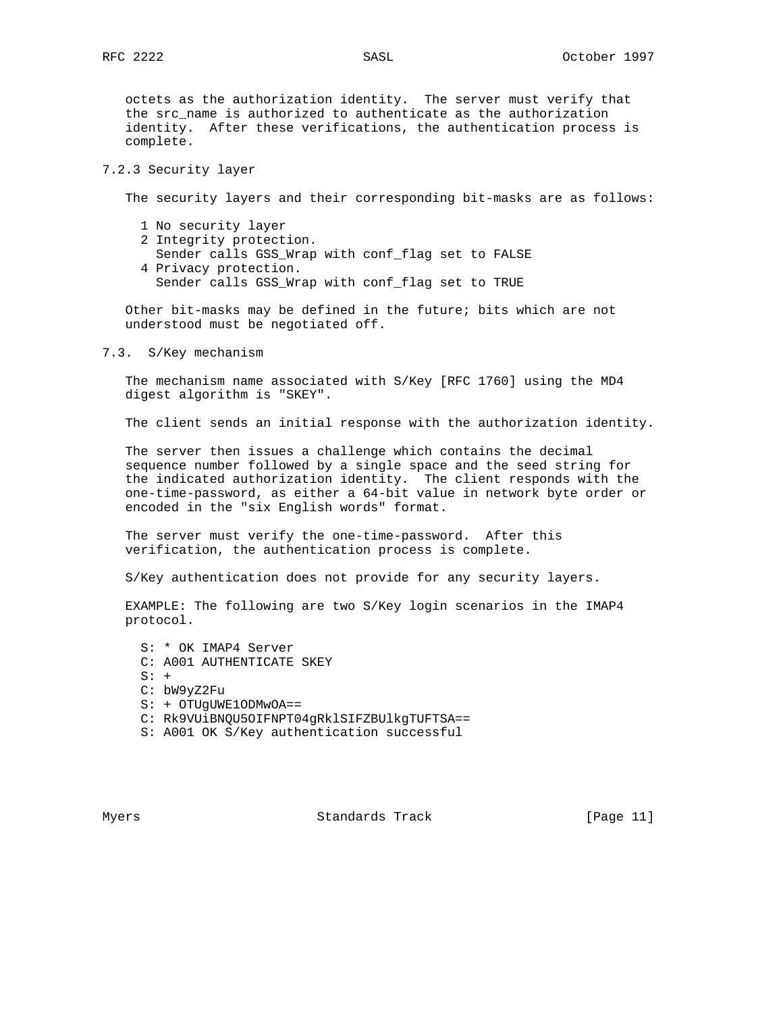octets as the authorization identity. The server must verify that the src\_name is authorized to authenticate as the authorization identity. After these verifications, the authentication process is complete.

7.2.3 Security layer

The security layers and their corresponding bit-masks are as follows:

- 1 No security layer
- 2 Integrity protection.
- Sender calls GSS\_Wrap with conf\_flag set to FALSE 4 Privacy protection.
- Sender calls GSS\_Wrap with conf\_flag set to TRUE

 Other bit-masks may be defined in the future; bits which are not understood must be negotiated off.

7.3. S/Key mechanism

 The mechanism name associated with S/Key [RFC 1760] using the MD4 digest algorithm is "SKEY".

The client sends an initial response with the authorization identity.

 The server then issues a challenge which contains the decimal sequence number followed by a single space and the seed string for the indicated authorization identity. The client responds with the one-time-password, as either a 64-bit value in network byte order or encoded in the "six English words" format.

 The server must verify the one-time-password. After this verification, the authentication process is complete.

S/Key authentication does not provide for any security layers.

 EXAMPLE: The following are two S/Key login scenarios in the IMAP4 protocol.

 S: \* OK IMAP4 Server C: A001 AUTHENTICATE SKEY  $S: +$  C: bW9yZ2Fu S: + OTUgUWE1ODMwOA== C: Rk9VUiBNQU5OIFNPT04gRklSIFZBUlkgTUFTSA== S: A001 OK S/Key authentication successful

Myers **Standards Track** [Page 11]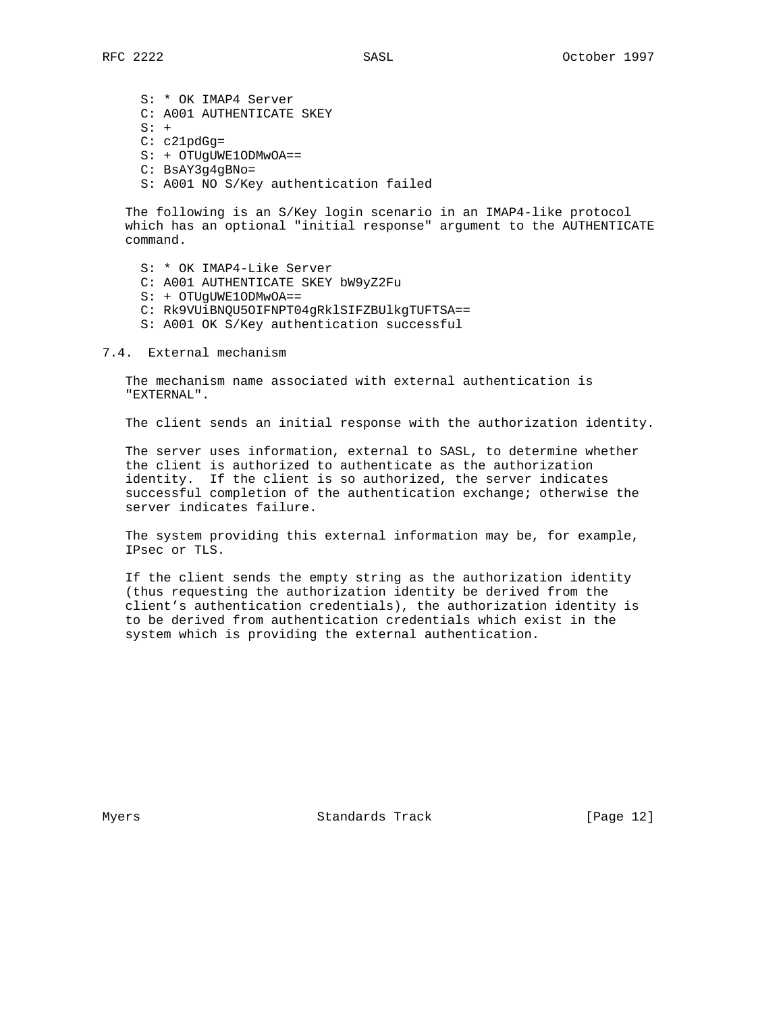S: \* OK IMAP4 Server C: A001 AUTHENTICATE SKEY  $S: +$  C: c21pdGg= S: + OTUgUWE1ODMwOA== C: BsAY3g4gBNo= S: A001 NO S/Key authentication failed

 The following is an S/Key login scenario in an IMAP4-like protocol which has an optional "initial response" argument to the AUTHENTICATE command.

 S: \* OK IMAP4-Like Server C: A001 AUTHENTICATE SKEY bW9yZ2Fu S: + OTUgUWE1ODMwOA== C: Rk9VUiBNQU5OIFNPT04gRklSIFZBUlkgTUFTSA== S: A001 OK S/Key authentication successful

7.4. External mechanism

 The mechanism name associated with external authentication is "EXTERNAL".

The client sends an initial response with the authorization identity.

 The server uses information, external to SASL, to determine whether the client is authorized to authenticate as the authorization identity. If the client is so authorized, the server indicates successful completion of the authentication exchange; otherwise the server indicates failure.

 The system providing this external information may be, for example, IPsec or TLS.

 If the client sends the empty string as the authorization identity (thus requesting the authorization identity be derived from the client's authentication credentials), the authorization identity is to be derived from authentication credentials which exist in the system which is providing the external authentication.

Myers Standards Track [Page 12]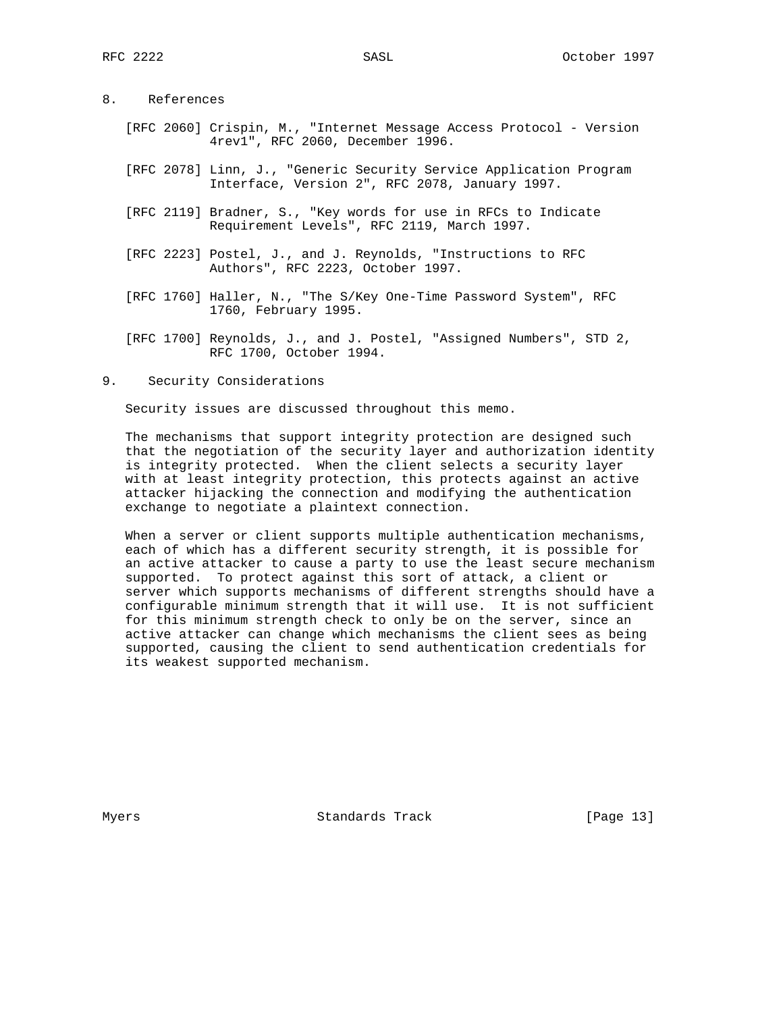8. References

- [RFC 2060] Crispin, M., "Internet Message Access Protocol Version 4rev1", RFC 2060, December 1996.
- [RFC 2078] Linn, J., "Generic Security Service Application Program Interface, Version 2", RFC 2078, January 1997.
- [RFC 2119] Bradner, S., "Key words for use in RFCs to Indicate Requirement Levels", RFC 2119, March 1997.
- [RFC 2223] Postel, J., and J. Reynolds, "Instructions to RFC Authors", RFC 2223, October 1997.
- [RFC 1760] Haller, N., "The S/Key One-Time Password System", RFC 1760, February 1995.
- [RFC 1700] Reynolds, J., and J. Postel, "Assigned Numbers", STD 2, RFC 1700, October 1994.
- 9. Security Considerations

Security issues are discussed throughout this memo.

 The mechanisms that support integrity protection are designed such that the negotiation of the security layer and authorization identity is integrity protected. When the client selects a security layer with at least integrity protection, this protects against an active attacker hijacking the connection and modifying the authentication exchange to negotiate a plaintext connection.

When a server or client supports multiple authentication mechanisms, each of which has a different security strength, it is possible for an active attacker to cause a party to use the least secure mechanism supported. To protect against this sort of attack, a client or server which supports mechanisms of different strengths should have a configurable minimum strength that it will use. It is not sufficient for this minimum strength check to only be on the server, since an active attacker can change which mechanisms the client sees as being supported, causing the client to send authentication credentials for its weakest supported mechanism.

Myers **Standards Track** [Page 13]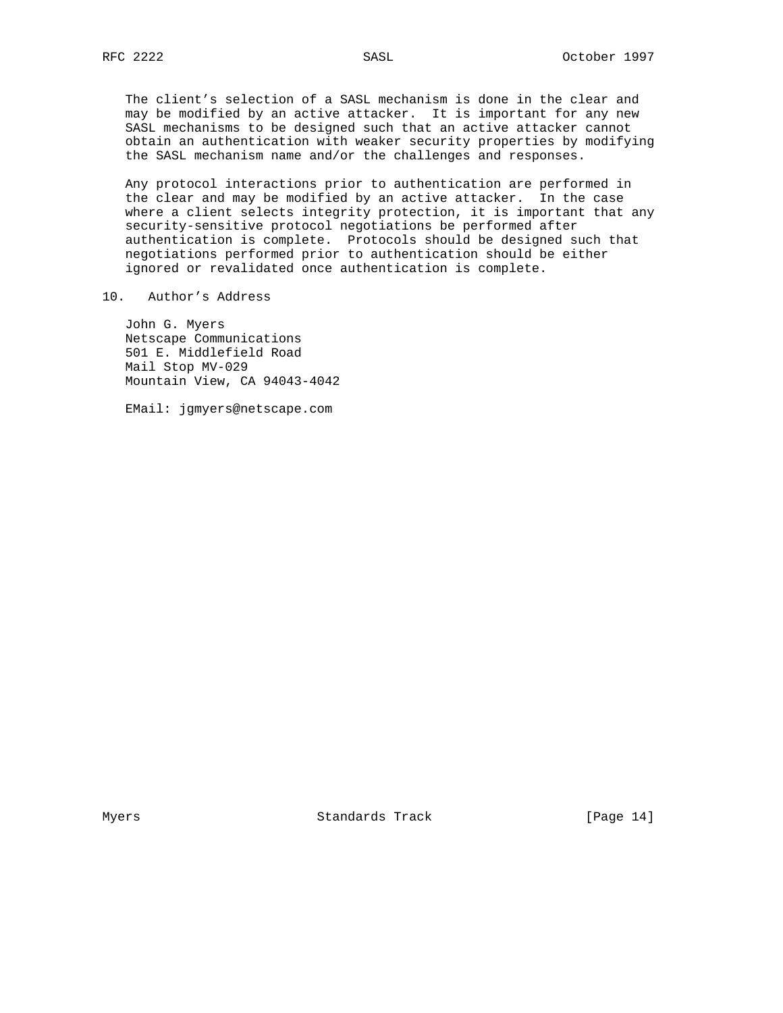The client's selection of a SASL mechanism is done in the clear and may be modified by an active attacker. It is important for any new SASL mechanisms to be designed such that an active attacker cannot obtain an authentication with weaker security properties by modifying the SASL mechanism name and/or the challenges and responses.

 Any protocol interactions prior to authentication are performed in the clear and may be modified by an active attacker. In the case where a client selects integrity protection, it is important that any security-sensitive protocol negotiations be performed after authentication is complete. Protocols should be designed such that negotiations performed prior to authentication should be either ignored or revalidated once authentication is complete.

### 10. Author's Address

 John G. Myers Netscape Communications 501 E. Middlefield Road Mail Stop MV-029 Mountain View, CA 94043-4042

EMail: jgmyers@netscape.com

Myers **Standards Track** [Page 14]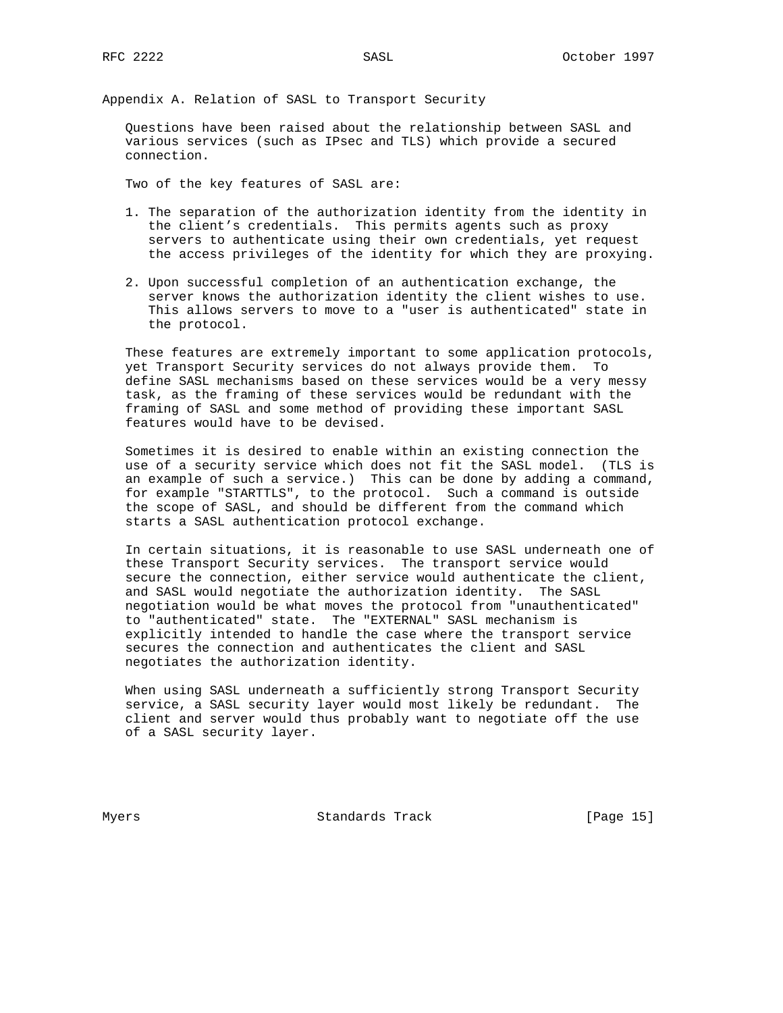Appendix A. Relation of SASL to Transport Security

 Questions have been raised about the relationship between SASL and various services (such as IPsec and TLS) which provide a secured connection.

Two of the key features of SASL are:

- 1. The separation of the authorization identity from the identity in the client's credentials. This permits agents such as proxy servers to authenticate using their own credentials, yet request the access privileges of the identity for which they are proxying.
- 2. Upon successful completion of an authentication exchange, the server knows the authorization identity the client wishes to use. This allows servers to move to a "user is authenticated" state in the protocol.

 These features are extremely important to some application protocols, yet Transport Security services do not always provide them. To define SASL mechanisms based on these services would be a very messy task, as the framing of these services would be redundant with the framing of SASL and some method of providing these important SASL features would have to be devised.

 Sometimes it is desired to enable within an existing connection the use of a security service which does not fit the SASL model. (TLS is an example of such a service.) This can be done by adding a command, for example "STARTTLS", to the protocol. Such a command is outside the scope of SASL, and should be different from the command which starts a SASL authentication protocol exchange.

 In certain situations, it is reasonable to use SASL underneath one of these Transport Security services. The transport service would secure the connection, either service would authenticate the client, and SASL would negotiate the authorization identity. The SASL negotiation would be what moves the protocol from "unauthenticated" to "authenticated" state. The "EXTERNAL" SASL mechanism is explicitly intended to handle the case where the transport service secures the connection and authenticates the client and SASL negotiates the authorization identity.

 When using SASL underneath a sufficiently strong Transport Security service, a SASL security layer would most likely be redundant. The client and server would thus probably want to negotiate off the use of a SASL security layer.

Myers **Standards Track** [Page 15]